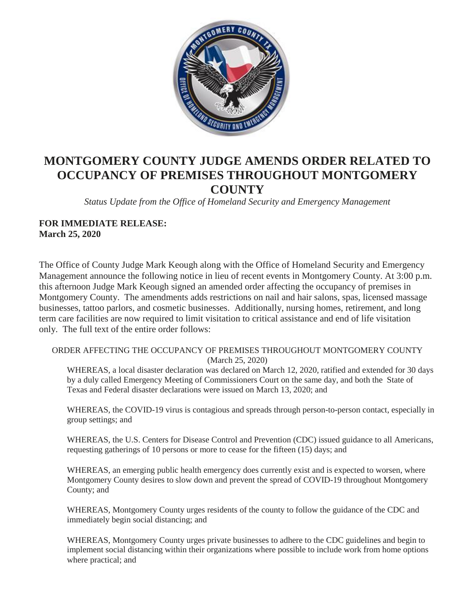

# **MONTGOMERY COUNTY JUDGE AMENDS ORDER RELATED TO OCCUPANCY OF PREMISES THROUGHOUT MONTGOMERY COUNTY**

*Status Update from the Office of Homeland Security and Emergency Management*

#### **FOR IMMEDIATE RELEASE: March 25, 2020**

The Office of County Judge Mark Keough along with the Office of Homeland Security and Emergency Management announce the following notice in lieu of recent events in Montgomery County. At 3:00 p.m. this afternoon Judge Mark Keough signed an amended order affecting the occupancy of premises in Montgomery County. The amendments adds restrictions on nail and hair salons, spas, licensed massage businesses, tattoo parlors, and cosmetic businesses. Additionally, nursing homes, retirement, and long term care facilities are now required to limit visitation to critical assistance and end of life visitation only. The full text of the entire order follows:

#### ORDER AFFECTING THE OCCUPANCY OF PREMISES THROUGHOUT MONTGOMERY COUNTY (March 25, 2020)

WHEREAS, a local disaster declaration was declared on March 12, 2020, ratified and extended for 30 days by a duly called Emergency Meeting of Commissioners Court on the same day, and both the State of Texas and Federal disaster declarations were issued on March 13, 2020; and

WHEREAS, the COVID-19 virus is contagious and spreads through person-to-person contact, especially in group settings; and

WHEREAS, the U.S. Centers for Disease Control and Prevention (CDC) issued guidance to all Americans, requesting gatherings of 10 persons or more to cease for the fifteen (15) days; and

WHEREAS, an emerging public health emergency does currently exist and is expected to worsen, where Montgomery County desires to slow down and prevent the spread of COVID-19 throughout Montgomery County; and

WHEREAS, Montgomery County urges residents of the county to follow the guidance of the CDC and immediately begin social distancing; and

WHEREAS, Montgomery County urges private businesses to adhere to the CDC guidelines and begin to implement social distancing within their organizations where possible to include work from home options where practical; and